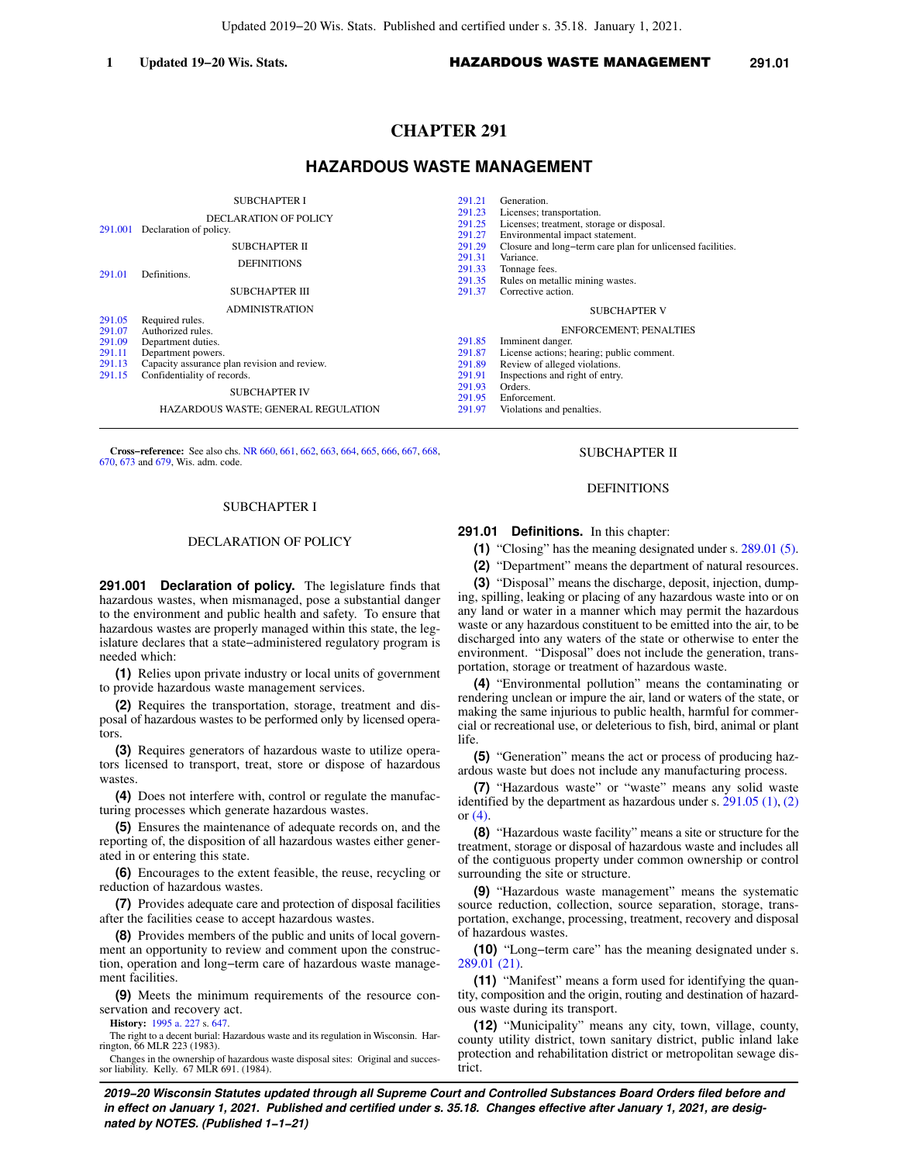# **CHAPTER 291**

## **HAZARDOUS WASTE MANAGEMENT**

| 291.001<br>291.01                                        | <b>SUBCHAPTER I</b><br><b>DECLARATION OF POLICY</b><br>Declaration of policy.<br><b>SUBCHAPTER II</b><br><b>DEFINITIONS</b><br>Definitions.<br>SUBCHAPTER III                                                                                           | 291.21<br>291.23<br>291.25<br>291.27<br>291.29<br>291.31<br>291.33<br>291.35<br>291.37 | Generation.<br>Licenses; transportation.<br>Licenses; treatment, storage or disposal.<br>Environmental impact statement.<br>Closure and long-term care plan for unlicensed facilities.<br>Variance.<br>Tonnage fees.<br>Rules on metallic mining wastes.<br>Corrective action. |
|----------------------------------------------------------|---------------------------------------------------------------------------------------------------------------------------------------------------------------------------------------------------------------------------------------------------------|----------------------------------------------------------------------------------------|--------------------------------------------------------------------------------------------------------------------------------------------------------------------------------------------------------------------------------------------------------------------------------|
| 291.05<br>291.07<br>291.09<br>291.11<br>291.13<br>291.15 | <b>ADMINISTRATION</b><br>Required rules.<br>Authorized rules.<br>Department duties.<br>Department powers.<br>Capacity assurance plan revision and review.<br>Confidentiality of records.<br><b>SUBCHAPTER IV</b><br>HAZARDOUS WASTE; GENERAL REGULATION | 291.85<br>291.87<br>291.89<br>291.91<br>291.93<br>291.95<br>291.97                     | <b>SUBCHAPTER V</b><br><b>ENFORCEMENT; PENALTIES</b><br>Imminent danger.<br>License actions; hearing; public comment.<br>Review of alleged violations.<br>Inspections and right of entry.<br>Orders.<br>Enforcement.<br>Violations and penalties.                              |

**Cross−reference:** See also chs. [NR 660](https://docs-preview.legis.wisconsin.gov/document/administrativecode/ch.%20NR%20660), [661](https://docs-preview.legis.wisconsin.gov/document/administrativecode/ch.%20NR%20661), [662](https://docs-preview.legis.wisconsin.gov/document/administrativecode/ch.%20NR%20662), [663,](https://docs-preview.legis.wisconsin.gov/document/administrativecode/ch.%20NR%20663) [664,](https://docs-preview.legis.wisconsin.gov/document/administrativecode/ch.%20NR%20664) [665,](https://docs-preview.legis.wisconsin.gov/document/administrativecode/ch.%20NR%20665) [666,](https://docs-preview.legis.wisconsin.gov/document/administrativecode/ch.%20NR%20666) [667](https://docs-preview.legis.wisconsin.gov/document/administrativecode/ch.%20NR%20667), [668](https://docs-preview.legis.wisconsin.gov/document/administrativecode/ch.%20NR%20668), [670](https://docs-preview.legis.wisconsin.gov/document/administrativecode/ch.%20NR%20670), [673](https://docs-preview.legis.wisconsin.gov/document/administrativecode/ch.%20NR%20673) and [679,](https://docs-preview.legis.wisconsin.gov/document/administrativecode/ch.%20NR%20679) Wis. adm. code.

## SUBCHAPTER I

#### DECLARATION OF POLICY

**291.001 Declaration of policy.** The legislature finds that hazardous wastes, when mismanaged, pose a substantial danger to the environment and public health and safety. To ensure that hazardous wastes are properly managed within this state, the legislature declares that a state−administered regulatory program is needed which:

**(1)** Relies upon private industry or local units of government to provide hazardous waste management services.

**(2)** Requires the transportation, storage, treatment and disposal of hazardous wastes to be performed only by licensed operators.

**(3)** Requires generators of hazardous waste to utilize operators licensed to transport, treat, store or dispose of hazardous wastes.

**(4)** Does not interfere with, control or regulate the manufacturing processes which generate hazardous wastes.

**(5)** Ensures the maintenance of adequate records on, and the reporting of, the disposition of all hazardous wastes either generated in or entering this state.

**(6)** Encourages to the extent feasible, the reuse, recycling or reduction of hazardous wastes.

**(7)** Provides adequate care and protection of disposal facilities after the facilities cease to accept hazardous wastes.

**(8)** Provides members of the public and units of local government an opportunity to review and comment upon the construction, operation and long−term care of hazardous waste management facilities.

**(9)** Meets the minimum requirements of the resource conservation and recovery act.

**History:** [1995 a. 227](https://docs-preview.legis.wisconsin.gov/document/acts/1995/227) s. [647.](https://docs-preview.legis.wisconsin.gov/document/acts/1995/227,%20s.%20647)

The right to a decent burial: Hazardous waste and its regulation in Wisconsin. Harrington, 66 MLR 223 (1983).

Changes in the ownership of hazardous waste disposal sites: Original and successor liability. Kelly. 67 MLR 691. (1984).

## SUBCHAPTER II

## DEFINITIONS

## **291.01 Definitions.** In this chapter:

**(1)** "Closing" has the meaning designated under s. [289.01 \(5\).](https://docs-preview.legis.wisconsin.gov/document/statutes/289.01(5))

**(2)** "Department" means the department of natural resources.

**(3)** "Disposal" means the discharge, deposit, injection, dumping, spilling, leaking or placing of any hazardous waste into or on any land or water in a manner which may permit the hazardous waste or any hazardous constituent to be emitted into the air, to be discharged into any waters of the state or otherwise to enter the environment. "Disposal" does not include the generation, transportation, storage or treatment of hazardous waste.

**(4)** "Environmental pollution" means the contaminating or rendering unclean or impure the air, land or waters of the state, or making the same injurious to public health, harmful for commercial or recreational use, or deleterious to fish, bird, animal or plant life.

**(5)** "Generation" means the act or process of producing hazardous waste but does not include any manufacturing process.

**(7)** "Hazardous waste" or "waste" means any solid waste identified by the department as hazardous under s. [291.05 \(1\),](https://docs-preview.legis.wisconsin.gov/document/statutes/291.05(1)) [\(2\)](https://docs-preview.legis.wisconsin.gov/document/statutes/291.05(2)) or  $(4)$ .

**(8)** "Hazardous waste facility" means a site or structure for the treatment, storage or disposal of hazardous waste and includes all of the contiguous property under common ownership or control surrounding the site or structure.

**(9)** "Hazardous waste management" means the systematic source reduction, collection, source separation, storage, transportation, exchange, processing, treatment, recovery and disposal of hazardous wastes.

**(10)** "Long−term care" has the meaning designated under s. [289.01 \(21\)](https://docs-preview.legis.wisconsin.gov/document/statutes/289.01(21)).

**(11)** "Manifest" means a form used for identifying the quantity, composition and the origin, routing and destination of hazardous waste during its transport.

**(12)** "Municipality" means any city, town, village, county, county utility district, town sanitary district, public inland lake protection and rehabilitation district or metropolitan sewage district.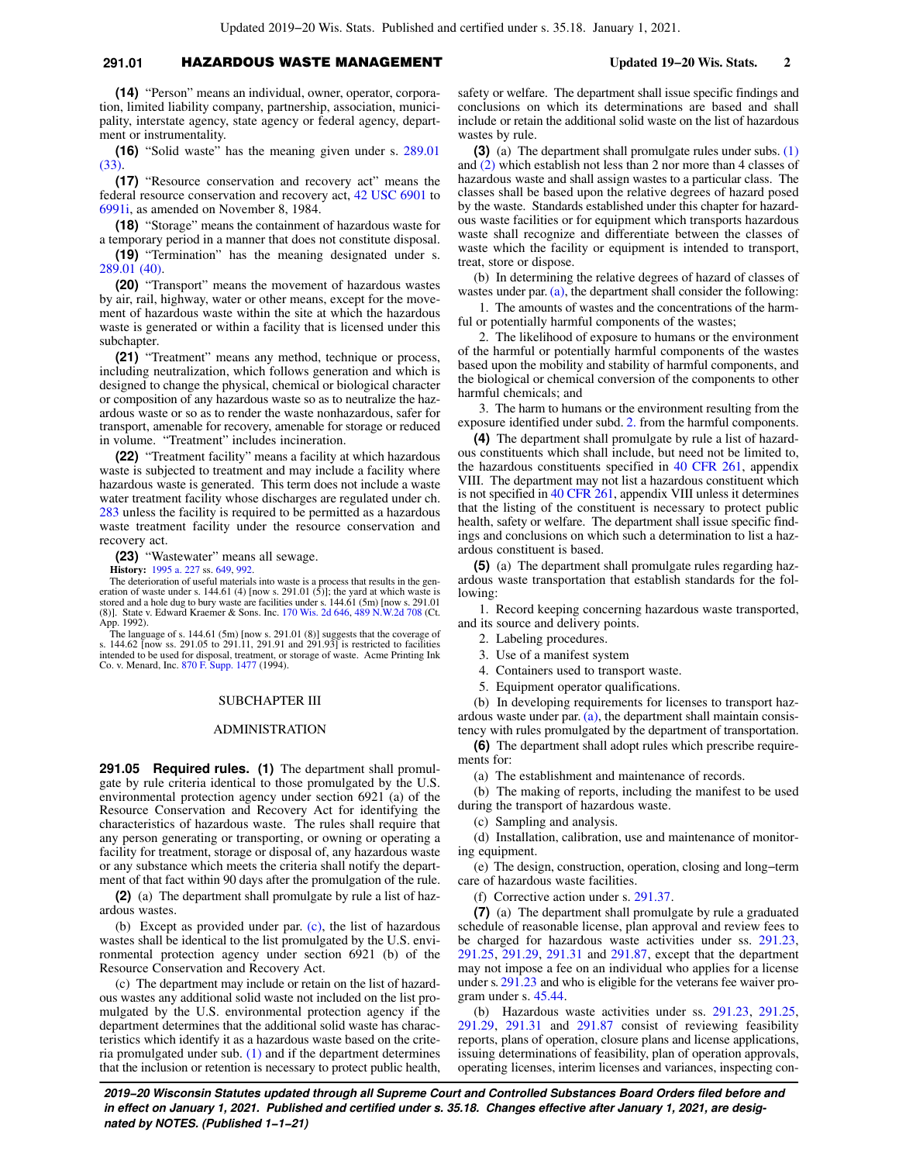## **291.01** HAZARDOUS WASTE MANAGEMENT **Updated 19−20 Wis. Stats. 2**

**(14)** "Person" means an individual, owner, operator, corporation, limited liability company, partnership, association, municipality, interstate agency, state agency or federal agency, department or instrumentality.

**(16)** "Solid waste" has the meaning given under s. [289.01](https://docs-preview.legis.wisconsin.gov/document/statutes/289.01(33)) [\(33\).](https://docs-preview.legis.wisconsin.gov/document/statutes/289.01(33))

**(17)** "Resource conservation and recovery act" means the federal resource conservation and recovery act, [42 USC 6901](https://docs-preview.legis.wisconsin.gov/document/usc/42%20USC%206901) to [6991i](https://docs-preview.legis.wisconsin.gov/document/usc/42%20USC%206991i), as amended on November 8, 1984.

**(18)** "Storage" means the containment of hazardous waste for a temporary period in a manner that does not constitute disposal.

**(19)** "Termination" has the meaning designated under s. [289.01 \(40\)](https://docs-preview.legis.wisconsin.gov/document/statutes/289.01(40)).

**(20)** "Transport" means the movement of hazardous wastes by air, rail, highway, water or other means, except for the movement of hazardous waste within the site at which the hazardous waste is generated or within a facility that is licensed under this subchapter.

**(21)** "Treatment" means any method, technique or process, including neutralization, which follows generation and which is designed to change the physical, chemical or biological character or composition of any hazardous waste so as to neutralize the hazardous waste or so as to render the waste nonhazardous, safer for transport, amenable for recovery, amenable for storage or reduced in volume. "Treatment" includes incineration.

**(22)** "Treatment facility" means a facility at which hazardous waste is subjected to treatment and may include a facility where hazardous waste is generated. This term does not include a waste water treatment facility whose discharges are regulated under ch. [283](https://docs-preview.legis.wisconsin.gov/document/statutes/ch.%20283) unless the facility is required to be permitted as a hazardous waste treatment facility under the resource conservation and recovery act.

**(23)** "Wastewater" means all sewage.

**History:** [1995 a. 227](https://docs-preview.legis.wisconsin.gov/document/acts/1995/227) ss. [649,](https://docs-preview.legis.wisconsin.gov/document/acts/1995/227,%20s.%20649) [992.](https://docs-preview.legis.wisconsin.gov/document/acts/1995/227,%20s.%20992)

The deterioration of useful materials into waste is a process that results in the generation of waste under s. 144.61 (4) [now s. 291.01 (5)]; the yard at which waste is<br>stored and a hole dug to bury waste are facilities under s. 144.61 (5m) [now s. 291.01<br>(8)]. State v. Edward Kraemer & Sons. Inc. 170 Wis App. 1992).

The language of s. 144.61 (5m) [now s. 291.01 (8)] suggests that the coverage of s. 144.62 [now ss. 291.05 to 291.11, 291.91 and 291.93] is restricted to facilities intended to be used for disposal, treatment, or storage of waste. Acme Printing Ink Co. v. Menard, Inc. [870 F. Supp. 1477](https://docs-preview.legis.wisconsin.gov/document/courts/870%20F.%20Supp.%201477) (1994).

#### SUBCHAPTER III

### ADMINISTRATION

**291.05 Required rules. (1)** The department shall promulgate by rule criteria identical to those promulgated by the U.S. environmental protection agency under section 6921 (a) of the Resource Conservation and Recovery Act for identifying the characteristics of hazardous waste. The rules shall require that any person generating or transporting, or owning or operating a facility for treatment, storage or disposal of, any hazardous waste or any substance which meets the criteria shall notify the department of that fact within 90 days after the promulgation of the rule.

**(2)** (a) The department shall promulgate by rule a list of hazardous wastes.

(b) Except as provided under par. [\(c\)](https://docs-preview.legis.wisconsin.gov/document/statutes/291.05(2)(c)), the list of hazardous wastes shall be identical to the list promulgated by the U.S. environmental protection agency under section 6921 (b) of the Resource Conservation and Recovery Act.

(c) The department may include or retain on the list of hazardous wastes any additional solid waste not included on the list promulgated by the U.S. environmental protection agency if the department determines that the additional solid waste has characteristics which identify it as a hazardous waste based on the criteria promulgated under sub. [\(1\)](https://docs-preview.legis.wisconsin.gov/document/statutes/291.05(1)) and if the department determines that the inclusion or retention is necessary to protect public health,

safety or welfare. The department shall issue specific findings and conclusions on which its determinations are based and shall include or retain the additional solid waste on the list of hazardous wastes by rule.

**(3)** (a) The department shall promulgate rules under subs. [\(1\)](https://docs-preview.legis.wisconsin.gov/document/statutes/291.05(1)) and [\(2\)](https://docs-preview.legis.wisconsin.gov/document/statutes/291.05(2)) which establish not less than 2 nor more than 4 classes of hazardous waste and shall assign wastes to a particular class. The classes shall be based upon the relative degrees of hazard posed by the waste. Standards established under this chapter for hazardous waste facilities or for equipment which transports hazardous waste shall recognize and differentiate between the classes of waste which the facility or equipment is intended to transport, treat, store or dispose.

(b) In determining the relative degrees of hazard of classes of wastes under par. [\(a\),](https://docs-preview.legis.wisconsin.gov/document/statutes/291.05(3)(a)) the department shall consider the following:

1. The amounts of wastes and the concentrations of the harmful or potentially harmful components of the wastes;

2. The likelihood of exposure to humans or the environment of the harmful or potentially harmful components of the wastes based upon the mobility and stability of harmful components, and the biological or chemical conversion of the components to other harmful chemicals; and

3. The harm to humans or the environment resulting from the exposure identified under subd. [2.](https://docs-preview.legis.wisconsin.gov/document/statutes/291.05(3)(b)2.) from the harmful components.

**(4)** The department shall promulgate by rule a list of hazardous constituents which shall include, but need not be limited to, the hazardous constituents specified in [40 CFR 261](https://docs-preview.legis.wisconsin.gov/document/cfr/40%20CFR%20261), appendix VIII. The department may not list a hazardous constituent which is not specified in [40 CFR 261](https://docs-preview.legis.wisconsin.gov/document/cfr/40%20CFR%20261), appendix VIII unless it determines that the listing of the constituent is necessary to protect public health, safety or welfare. The department shall issue specific findings and conclusions on which such a determination to list a hazardous constituent is based.

**(5)** (a) The department shall promulgate rules regarding hazardous waste transportation that establish standards for the following:

1. Record keeping concerning hazardous waste transported, and its source and delivery points.

- 2. Labeling procedures.
- 3. Use of a manifest system
- 4. Containers used to transport waste.
- 5. Equipment operator qualifications.

(b) In developing requirements for licenses to transport hazardous waste under par.  $(a)$ , the department shall maintain consistency with rules promulgated by the department of transportation.

**(6)** The department shall adopt rules which prescribe requirements for:

(a) The establishment and maintenance of records.

(b) The making of reports, including the manifest to be used during the transport of hazardous waste.

(c) Sampling and analysis.

(d) Installation, calibration, use and maintenance of monitoring equipment.

(e) The design, construction, operation, closing and long−term care of hazardous waste facilities.

(f) Corrective action under s. [291.37](https://docs-preview.legis.wisconsin.gov/document/statutes/291.37).

**(7)** (a) The department shall promulgate by rule a graduated schedule of reasonable license, plan approval and review fees to be charged for hazardous waste activities under ss. [291.23,](https://docs-preview.legis.wisconsin.gov/document/statutes/291.23) [291.25,](https://docs-preview.legis.wisconsin.gov/document/statutes/291.25) [291.29](https://docs-preview.legis.wisconsin.gov/document/statutes/291.29), [291.31](https://docs-preview.legis.wisconsin.gov/document/statutes/291.31) and [291.87](https://docs-preview.legis.wisconsin.gov/document/statutes/291.87), except that the department may not impose a fee on an individual who applies for a license under s. [291.23](https://docs-preview.legis.wisconsin.gov/document/statutes/291.23) and who is eligible for the veterans fee waiver program under s. [45.44](https://docs-preview.legis.wisconsin.gov/document/statutes/45.44).

(b) Hazardous waste activities under ss. [291.23](https://docs-preview.legis.wisconsin.gov/document/statutes/291.23), [291.25,](https://docs-preview.legis.wisconsin.gov/document/statutes/291.25) [291.29,](https://docs-preview.legis.wisconsin.gov/document/statutes/291.29) [291.31](https://docs-preview.legis.wisconsin.gov/document/statutes/291.31) and [291.87](https://docs-preview.legis.wisconsin.gov/document/statutes/291.87) consist of reviewing feasibility reports, plans of operation, closure plans and license applications, issuing determinations of feasibility, plan of operation approvals, operating licenses, interim licenses and variances, inspecting con-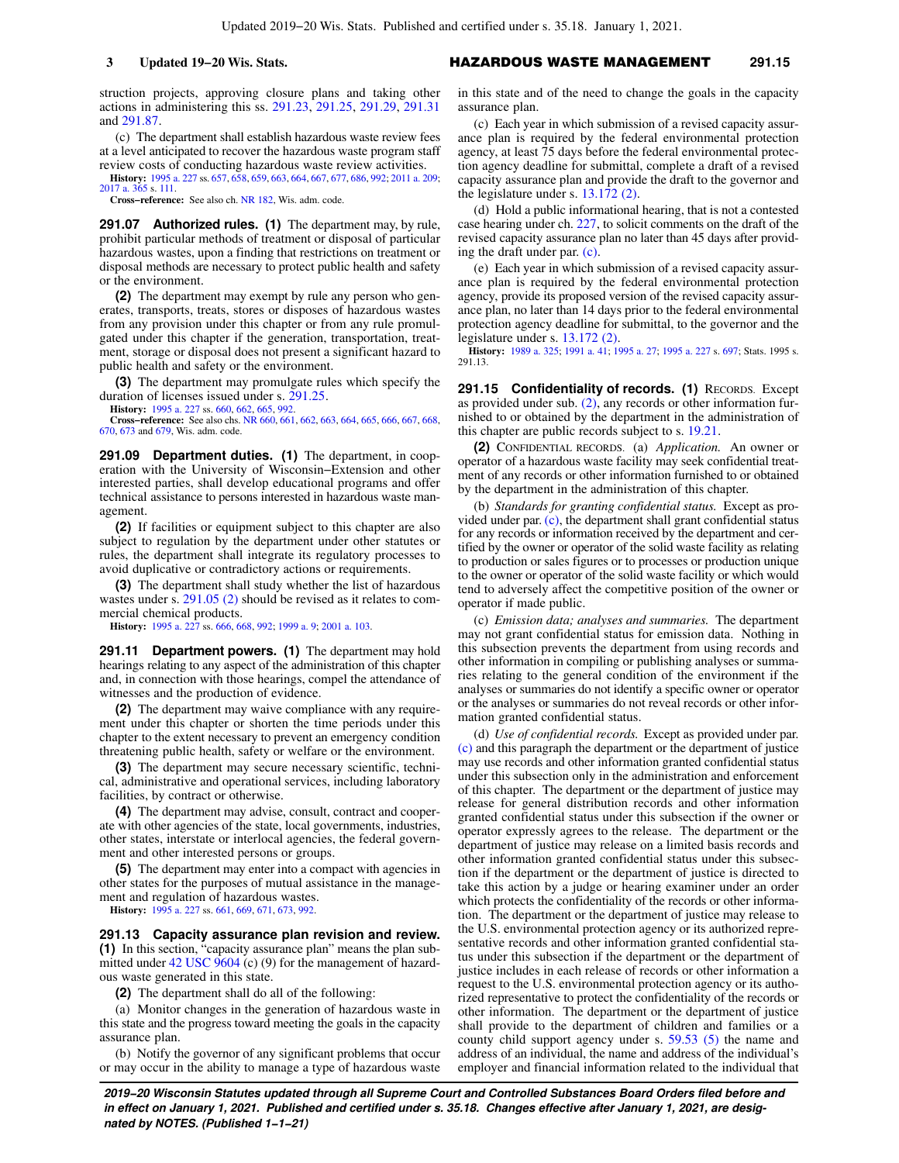struction projects, approving closure plans and taking other actions in administering this ss. [291.23,](https://docs-preview.legis.wisconsin.gov/document/statutes/291.23) [291.25](https://docs-preview.legis.wisconsin.gov/document/statutes/291.25), [291.29](https://docs-preview.legis.wisconsin.gov/document/statutes/291.29), [291.31](https://docs-preview.legis.wisconsin.gov/document/statutes/291.31) and [291.87](https://docs-preview.legis.wisconsin.gov/document/statutes/291.87).

(c) The department shall establish hazardous waste review fees at a level anticipated to recover the hazardous waste program staff review costs of conducting hazardous waste review activities.

**History:** [1995 a. 227](https://docs-preview.legis.wisconsin.gov/document/acts/1995/227) ss. [657,](https://docs-preview.legis.wisconsin.gov/document/acts/1995/227,%20s.%20657) [658](https://docs-preview.legis.wisconsin.gov/document/acts/1995/227,%20s.%20658), [659,](https://docs-preview.legis.wisconsin.gov/document/acts/1995/227,%20s.%20659) [663](https://docs-preview.legis.wisconsin.gov/document/acts/1995/227,%20s.%20663), [664,](https://docs-preview.legis.wisconsin.gov/document/acts/1995/227,%20s.%20664) [667](https://docs-preview.legis.wisconsin.gov/document/acts/1995/227,%20s.%20667), [677](https://docs-preview.legis.wisconsin.gov/document/acts/1995/227,%20s.%20677), [686,](https://docs-preview.legis.wisconsin.gov/document/acts/1995/227,%20s.%20686) [992](https://docs-preview.legis.wisconsin.gov/document/acts/1995/227,%20s.%20992); [2011 a. 209](https://docs-preview.legis.wisconsin.gov/document/acts/2011/209); [2017 a. 365](https://docs-preview.legis.wisconsin.gov/document/acts/2017/365) s. [111.](https://docs-preview.legis.wisconsin.gov/document/acts/2017/365,%20s.%20111)

**Cross−reference:** See also ch. [NR 182](https://docs-preview.legis.wisconsin.gov/document/administrativecode/ch.%20NR%20182), Wis. adm. code.

**291.07 Authorized rules. (1)** The department may, by rule, prohibit particular methods of treatment or disposal of particular hazardous wastes, upon a finding that restrictions on treatment or disposal methods are necessary to protect public health and safety or the environment.

**(2)** The department may exempt by rule any person who generates, transports, treats, stores or disposes of hazardous wastes from any provision under this chapter or from any rule promulgated under this chapter if the generation, transportation, treatment, storage or disposal does not present a significant hazard to public health and safety or the environment.

**(3)** The department may promulgate rules which specify the duration of licenses issued under s. [291.25.](https://docs-preview.legis.wisconsin.gov/document/statutes/291.25)

**History:** [1995 a. 227](https://docs-preview.legis.wisconsin.gov/document/acts/1995/227) ss. [660,](https://docs-preview.legis.wisconsin.gov/document/acts/1995/227,%20s.%20660) [662,](https://docs-preview.legis.wisconsin.gov/document/acts/1995/227,%20s.%20662) [665,](https://docs-preview.legis.wisconsin.gov/document/acts/1995/227,%20s.%20665) [992.](https://docs-preview.legis.wisconsin.gov/document/acts/1995/227,%20s.%20992) **Cross−reference:** See also chs. [NR 660](https://docs-preview.legis.wisconsin.gov/document/administrativecode/ch.%20NR%20660), [661](https://docs-preview.legis.wisconsin.gov/document/administrativecode/ch.%20NR%20661), [662](https://docs-preview.legis.wisconsin.gov/document/administrativecode/ch.%20NR%20662), [663,](https://docs-preview.legis.wisconsin.gov/document/administrativecode/ch.%20NR%20663) [664,](https://docs-preview.legis.wisconsin.gov/document/administrativecode/ch.%20NR%20664) [665,](https://docs-preview.legis.wisconsin.gov/document/administrativecode/ch.%20NR%20665) [666,](https://docs-preview.legis.wisconsin.gov/document/administrativecode/ch.%20NR%20666) [667](https://docs-preview.legis.wisconsin.gov/document/administrativecode/ch.%20NR%20667), [668](https://docs-preview.legis.wisconsin.gov/document/administrativecode/ch.%20NR%20668), [670](https://docs-preview.legis.wisconsin.gov/document/administrativecode/ch.%20NR%20670), [673](https://docs-preview.legis.wisconsin.gov/document/administrativecode/ch.%20NR%20673) and [679,](https://docs-preview.legis.wisconsin.gov/document/administrativecode/ch.%20NR%20679) Wis. adm. code.

**291.09 Department duties. (1)** The department, in cooperation with the University of Wisconsin−Extension and other interested parties, shall develop educational programs and offer technical assistance to persons interested in hazardous waste management.

**(2)** If facilities or equipment subject to this chapter are also subject to regulation by the department under other statutes or rules, the department shall integrate its regulatory processes to avoid duplicative or contradictory actions or requirements.

**(3)** The department shall study whether the list of hazardous wastes under s. [291.05 \(2\)](https://docs-preview.legis.wisconsin.gov/document/statutes/291.05(2)) should be revised as it relates to commercial chemical products.

**History:** [1995 a. 227](https://docs-preview.legis.wisconsin.gov/document/acts/1995/227) ss. [666,](https://docs-preview.legis.wisconsin.gov/document/acts/1995/227,%20s.%20666) [668,](https://docs-preview.legis.wisconsin.gov/document/acts/1995/227,%20s.%20668) [992;](https://docs-preview.legis.wisconsin.gov/document/acts/1995/227,%20s.%20992) [1999 a. 9](https://docs-preview.legis.wisconsin.gov/document/acts/1999/9); [2001 a. 103](https://docs-preview.legis.wisconsin.gov/document/acts/2001/103).

**291.11 Department powers. (1)** The department may hold hearings relating to any aspect of the administration of this chapter and, in connection with those hearings, compel the attendance of witnesses and the production of evidence.

**(2)** The department may waive compliance with any requirement under this chapter or shorten the time periods under this chapter to the extent necessary to prevent an emergency condition threatening public health, safety or welfare or the environment.

**(3)** The department may secure necessary scientific, technical, administrative and operational services, including laboratory facilities, by contract or otherwise.

**(4)** The department may advise, consult, contract and cooperate with other agencies of the state, local governments, industries, other states, interstate or interlocal agencies, the federal government and other interested persons or groups.

**(5)** The department may enter into a compact with agencies in other states for the purposes of mutual assistance in the management and regulation of hazardous wastes.

**History:** [1995 a. 227](https://docs-preview.legis.wisconsin.gov/document/acts/1995/227) ss. [661,](https://docs-preview.legis.wisconsin.gov/document/acts/1995/227,%20s.%20661) [669,](https://docs-preview.legis.wisconsin.gov/document/acts/1995/227,%20s.%20669) [671,](https://docs-preview.legis.wisconsin.gov/document/acts/1995/227,%20s.%20671) [673,](https://docs-preview.legis.wisconsin.gov/document/acts/1995/227,%20s.%20673) [992.](https://docs-preview.legis.wisconsin.gov/document/acts/1995/227,%20s.%20992)

**291.13 Capacity assurance plan revision and review. (1)** In this section, "capacity assurance plan" means the plan sub-mitted under [42 USC 9604](https://docs-preview.legis.wisconsin.gov/document/usc/42%20USC%209604) (c) (9) for the management of hazardous waste generated in this state.

**(2)** The department shall do all of the following:

(a) Monitor changes in the generation of hazardous waste in this state and the progress toward meeting the goals in the capacity assurance plan.

(b) Notify the governor of any significant problems that occur or may occur in the ability to manage a type of hazardous waste

## **3 Updated 19−20 Wis. Stats.** HAZARDOUS WASTE MANAGEMENT **291.15**

in this state and of the need to change the goals in the capacity assurance plan.

(c) Each year in which submission of a revised capacity assurance plan is required by the federal environmental protection agency, at least 75 days before the federal environmental protection agency deadline for submittal, complete a draft of a revised capacity assurance plan and provide the draft to the governor and the legislature under s. [13.172 \(2\).](https://docs-preview.legis.wisconsin.gov/document/statutes/13.172(2))

(d) Hold a public informational hearing, that is not a contested case hearing under ch. [227,](https://docs-preview.legis.wisconsin.gov/document/statutes/ch.%20227) to solicit comments on the draft of the revised capacity assurance plan no later than 45 days after providing the draft under par. [\(c\).](https://docs-preview.legis.wisconsin.gov/document/statutes/291.13(2)(c))

(e) Each year in which submission of a revised capacity assurance plan is required by the federal environmental protection agency, provide its proposed version of the revised capacity assurance plan, no later than 14 days prior to the federal environmental protection agency deadline for submittal, to the governor and the legislature under s. [13.172 \(2\).](https://docs-preview.legis.wisconsin.gov/document/statutes/13.172(2))

**History:** [1989 a. 325;](https://docs-preview.legis.wisconsin.gov/document/acts/1989/325) [1991 a. 41](https://docs-preview.legis.wisconsin.gov/document/acts/1991/41); [1995 a. 27](https://docs-preview.legis.wisconsin.gov/document/acts/1995/27); [1995 a. 227](https://docs-preview.legis.wisconsin.gov/document/acts/1995/227) s. [697;](https://docs-preview.legis.wisconsin.gov/document/acts/1995/227,%20s.%20697) Stats. 1995 s. 291.13.

291.15 Confidentiality of records. (1) RECORDS. Except as provided under sub. [\(2\),](https://docs-preview.legis.wisconsin.gov/document/statutes/291.15(2)) any records or other information furnished to or obtained by the department in the administration of this chapter are public records subject to s. [19.21.](https://docs-preview.legis.wisconsin.gov/document/statutes/19.21)

**(2)** CONFIDENTIAL RECORDS. (a) *Application.* An owner or operator of a hazardous waste facility may seek confidential treatment of any records or other information furnished to or obtained by the department in the administration of this chapter.

(b) *Standards for granting confidential status.* Except as provided under par. [\(c\)](https://docs-preview.legis.wisconsin.gov/document/statutes/291.15(2)(c)), the department shall grant confidential status for any records or information received by the department and certified by the owner or operator of the solid waste facility as relating to production or sales figures or to processes or production unique to the owner or operator of the solid waste facility or which would tend to adversely affect the competitive position of the owner or operator if made public.

(c) *Emission data; analyses and summaries.* The department may not grant confidential status for emission data. Nothing in this subsection prevents the department from using records and other information in compiling or publishing analyses or summaries relating to the general condition of the environment if the analyses or summaries do not identify a specific owner or operator or the analyses or summaries do not reveal records or other information granted confidential status.

(d) *Use of confidential records.* Except as provided under par. [\(c\)](https://docs-preview.legis.wisconsin.gov/document/statutes/291.15(2)(c)) and this paragraph the department or the department of justice may use records and other information granted confidential status under this subsection only in the administration and enforcement of this chapter. The department or the department of justice may release for general distribution records and other information granted confidential status under this subsection if the owner or operator expressly agrees to the release. The department or the department of justice may release on a limited basis records and other information granted confidential status under this subsection if the department or the department of justice is directed to take this action by a judge or hearing examiner under an order which protects the confidentiality of the records or other information. The department or the department of justice may release to the U.S. environmental protection agency or its authorized representative records and other information granted confidential status under this subsection if the department or the department of justice includes in each release of records or other information a request to the U.S. environmental protection agency or its authorized representative to protect the confidentiality of the records or other information. The department or the department of justice shall provide to the department of children and families or a county child support agency under s. [59.53 \(5\)](https://docs-preview.legis.wisconsin.gov/document/statutes/59.53(5)) the name and address of an individual, the name and address of the individual's employer and financial information related to the individual that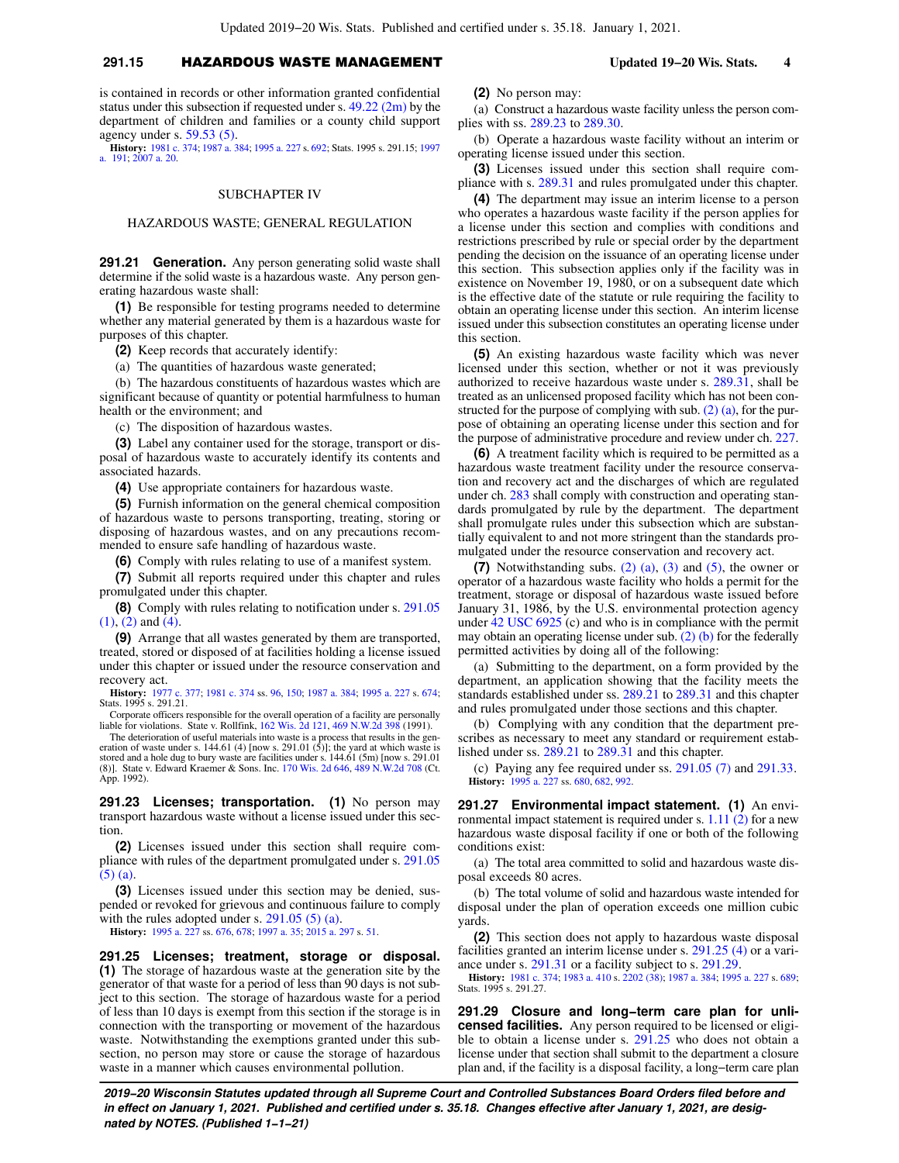## **291.15** HAZARDOUS WASTE MANAGEMENT **Updated 19−20 Wis. Stats. 4**

is contained in records or other information granted confidential status under this subsection if requested under s.  $49.22$  (2m) by the department of children and families or a county child support agency under s. [59.53 \(5\).](https://docs-preview.legis.wisconsin.gov/document/statutes/59.53(5))

**History:** [1981 c. 374;](https://docs-preview.legis.wisconsin.gov/document/acts/1981/374) [1987 a. 384;](https://docs-preview.legis.wisconsin.gov/document/acts/1987/384) [1995 a. 227](https://docs-preview.legis.wisconsin.gov/document/acts/1995/227) s. [692;](https://docs-preview.legis.wisconsin.gov/document/acts/1995/227,%20s.%20692) Stats. 1995 s. 291.15; [1997](https://docs-preview.legis.wisconsin.gov/document/acts/1997/191) [a. 191;](https://docs-preview.legis.wisconsin.gov/document/acts/1997/191) [2007 a. 20.](https://docs-preview.legis.wisconsin.gov/document/acts/2007/20)

## SUBCHAPTER IV

## HAZARDOUS WASTE; GENERAL REGULATION

**291.21 Generation.** Any person generating solid waste shall determine if the solid waste is a hazardous waste. Any person generating hazardous waste shall:

**(1)** Be responsible for testing programs needed to determine whether any material generated by them is a hazardous waste for purposes of this chapter.

**(2)** Keep records that accurately identify:

(a) The quantities of hazardous waste generated;

(b) The hazardous constituents of hazardous wastes which are significant because of quantity or potential harmfulness to human health or the environment; and

(c) The disposition of hazardous wastes.

**(3)** Label any container used for the storage, transport or disposal of hazardous waste to accurately identify its contents and associated hazards.

**(4)** Use appropriate containers for hazardous waste.

**(5)** Furnish information on the general chemical composition of hazardous waste to persons transporting, treating, storing or disposing of hazardous wastes, and on any precautions recommended to ensure safe handling of hazardous waste.

**(6)** Comply with rules relating to use of a manifest system.

**(7)** Submit all reports required under this chapter and rules promulgated under this chapter.

**(8)** Comply with rules relating to notification under s. [291.05](https://docs-preview.legis.wisconsin.gov/document/statutes/291.05(1)) [\(1\)](https://docs-preview.legis.wisconsin.gov/document/statutes/291.05(1)), [\(2\)](https://docs-preview.legis.wisconsin.gov/document/statutes/291.05(2)) and [\(4\).](https://docs-preview.legis.wisconsin.gov/document/statutes/291.05(4))

**(9)** Arrange that all wastes generated by them are transported, treated, stored or disposed of at facilities holding a license issued under this chapter or issued under the resource conservation and recovery act.

**History:** [1977 c. 377;](https://docs-preview.legis.wisconsin.gov/document/acts/1977/377) [1981 c. 374](https://docs-preview.legis.wisconsin.gov/document/acts/1981/374) ss. [96](https://docs-preview.legis.wisconsin.gov/document/acts/1981/374,%20s.%2096), [150;](https://docs-preview.legis.wisconsin.gov/document/acts/1981/374,%20s.%20150) [1987 a. 384](https://docs-preview.legis.wisconsin.gov/document/acts/1987/384); [1995 a. 227](https://docs-preview.legis.wisconsin.gov/document/acts/1995/227) s. [674](https://docs-preview.legis.wisconsin.gov/document/acts/1995/227,%20s.%20674); Stats. 1995 s. 291.21.

Corporate officers responsible for the overall operation of a facility are personally liable for violations. State v. Rollfink, [162 Wis. 2d 121](https://docs-preview.legis.wisconsin.gov/document/courts/162%20Wis.%202d%20121), [469 N.W.2d 398](https://docs-preview.legis.wisconsin.gov/document/courts/469%20N.W.2d%20398) (1991).

The deterioration of useful materials into waste is a process that results in the generation of waste under s. 144.61 (4) [now s. 291.01 (5)]; the yard at which waste is stored and a hole dug to bury waste are facilities App. 1992).

**291.23 Licenses; transportation. (1)** No person may transport hazardous waste without a license issued under this section.

**(2)** Licenses issued under this section shall require compliance with rules of the department promulgated under s. [291.05](https://docs-preview.legis.wisconsin.gov/document/statutes/291.05(5)(a)) [\(5\) \(a\).](https://docs-preview.legis.wisconsin.gov/document/statutes/291.05(5)(a))

**(3)** Licenses issued under this section may be denied, suspended or revoked for grievous and continuous failure to comply with the rules adopted under s.  $291.05$  (5) (a).

**History:** [1995 a. 227](https://docs-preview.legis.wisconsin.gov/document/acts/1995/227) ss. [676,](https://docs-preview.legis.wisconsin.gov/document/acts/1995/227,%20s.%20676) [678;](https://docs-preview.legis.wisconsin.gov/document/acts/1995/227,%20s.%20678) [1997 a. 35;](https://docs-preview.legis.wisconsin.gov/document/acts/1997/35) [2015 a. 297](https://docs-preview.legis.wisconsin.gov/document/acts/2015/297) s. [51.](https://docs-preview.legis.wisconsin.gov/document/acts/2015/297,%20s.%2051)

**291.25 Licenses; treatment, storage or disposal. (1)** The storage of hazardous waste at the generation site by the generator of that waste for a period of less than 90 days is not subject to this section. The storage of hazardous waste for a period of less than 10 days is exempt from this section if the storage is in connection with the transporting or movement of the hazardous waste. Notwithstanding the exemptions granted under this subsection, no person may store or cause the storage of hazardous waste in a manner which causes environmental pollution.

**(2)** No person may:

(a) Construct a hazardous waste facility unless the person complies with ss. [289.23](https://docs-preview.legis.wisconsin.gov/document/statutes/289.23) to [289.30.](https://docs-preview.legis.wisconsin.gov/document/statutes/289.30)

(b) Operate a hazardous waste facility without an interim or operating license issued under this section.

**(3)** Licenses issued under this section shall require compliance with s. [289.31](https://docs-preview.legis.wisconsin.gov/document/statutes/289.31) and rules promulgated under this chapter.

**(4)** The department may issue an interim license to a person who operates a hazardous waste facility if the person applies for a license under this section and complies with conditions and restrictions prescribed by rule or special order by the department pending the decision on the issuance of an operating license under this section. This subsection applies only if the facility was in existence on November 19, 1980, or on a subsequent date which is the effective date of the statute or rule requiring the facility to obtain an operating license under this section. An interim license issued under this subsection constitutes an operating license under this section.

**(5)** An existing hazardous waste facility which was never licensed under this section, whether or not it was previously authorized to receive hazardous waste under s. [289.31,](https://docs-preview.legis.wisconsin.gov/document/statutes/289.31) shall be treated as an unlicensed proposed facility which has not been constructed for the purpose of complying with sub.  $(2)$   $(a)$ , for the purpose of obtaining an operating license under this section and for the purpose of administrative procedure and review under ch. [227.](https://docs-preview.legis.wisconsin.gov/document/statutes/ch.%20227)

**(6)** A treatment facility which is required to be permitted as a hazardous waste treatment facility under the resource conservation and recovery act and the discharges of which are regulated under ch. [283](https://docs-preview.legis.wisconsin.gov/document/statutes/ch.%20283) shall comply with construction and operating standards promulgated by rule by the department. The department shall promulgate rules under this subsection which are substantially equivalent to and not more stringent than the standards promulgated under the resource conservation and recovery act.

**(7)** Notwithstanding subs. [\(2\) \(a\)](https://docs-preview.legis.wisconsin.gov/document/statutes/291.25(2)(a)), [\(3\)](https://docs-preview.legis.wisconsin.gov/document/statutes/291.25(3)) and [\(5\),](https://docs-preview.legis.wisconsin.gov/document/statutes/291.25(5)) the owner or operator of a hazardous waste facility who holds a permit for the treatment, storage or disposal of hazardous waste issued before January 31, 1986, by the U.S. environmental protection agency under [42 USC 6925](https://docs-preview.legis.wisconsin.gov/document/usc/42%20USC%206925) (c) and who is in compliance with the permit may obtain an operating license under sub. [\(2\) \(b\)](https://docs-preview.legis.wisconsin.gov/document/statutes/291.25(2)(b)) for the federally permitted activities by doing all of the following:

(a) Submitting to the department, on a form provided by the department, an application showing that the facility meets the standards established under ss. [289.21](https://docs-preview.legis.wisconsin.gov/document/statutes/289.21) to [289.31](https://docs-preview.legis.wisconsin.gov/document/statutes/289.31) and this chapter and rules promulgated under those sections and this chapter.

(b) Complying with any condition that the department prescribes as necessary to meet any standard or requirement established under ss. [289.21](https://docs-preview.legis.wisconsin.gov/document/statutes/289.21) to [289.31](https://docs-preview.legis.wisconsin.gov/document/statutes/289.31) and this chapter.

(c) Paying any fee required under ss. [291.05 \(7\)](https://docs-preview.legis.wisconsin.gov/document/statutes/291.05(7)) and [291.33.](https://docs-preview.legis.wisconsin.gov/document/statutes/291.33) **History:** [1995 a. 227](https://docs-preview.legis.wisconsin.gov/document/acts/1995/227) ss. [680,](https://docs-preview.legis.wisconsin.gov/document/acts/1995/227,%20s.%20680) [682,](https://docs-preview.legis.wisconsin.gov/document/acts/1995/227,%20s.%20682) [992.](https://docs-preview.legis.wisconsin.gov/document/acts/1995/227,%20s.%20992)

**291.27 Environmental impact statement. (1)** An environmental impact statement is required under s. [1.11 \(2\)](https://docs-preview.legis.wisconsin.gov/document/statutes/1.11(2)) for a new hazardous waste disposal facility if one or both of the following conditions exist:

(a) The total area committed to solid and hazardous waste disposal exceeds 80 acres.

(b) The total volume of solid and hazardous waste intended for disposal under the plan of operation exceeds one million cubic yards

**(2)** This section does not apply to hazardous waste disposal facilities granted an interim license under s. [291.25 \(4\)](https://docs-preview.legis.wisconsin.gov/document/statutes/291.25(4)) or a variance under s. [291.31](https://docs-preview.legis.wisconsin.gov/document/statutes/291.31) or a facility subject to s. [291.29](https://docs-preview.legis.wisconsin.gov/document/statutes/291.29).

**History:** [1981 c. 374](https://docs-preview.legis.wisconsin.gov/document/acts/1981/374); [1983 a. 410](https://docs-preview.legis.wisconsin.gov/document/acts/1983/410) s. [2202 \(38\);](https://docs-preview.legis.wisconsin.gov/document/acts/1983/410,%20s.%202202) [1987 a. 384;](https://docs-preview.legis.wisconsin.gov/document/acts/1987/384) [1995 a. 227](https://docs-preview.legis.wisconsin.gov/document/acts/1995/227) s. [689](https://docs-preview.legis.wisconsin.gov/document/acts/1995/227,%20s.%20689); Stats. 1995 s. 291.27.

**291.29 Closure and long−term care plan for unlicensed facilities.** Any person required to be licensed or eligible to obtain a license under s. [291.25](https://docs-preview.legis.wisconsin.gov/document/statutes/291.25) who does not obtain a license under that section shall submit to the department a closure plan and, if the facility is a disposal facility, a long−term care plan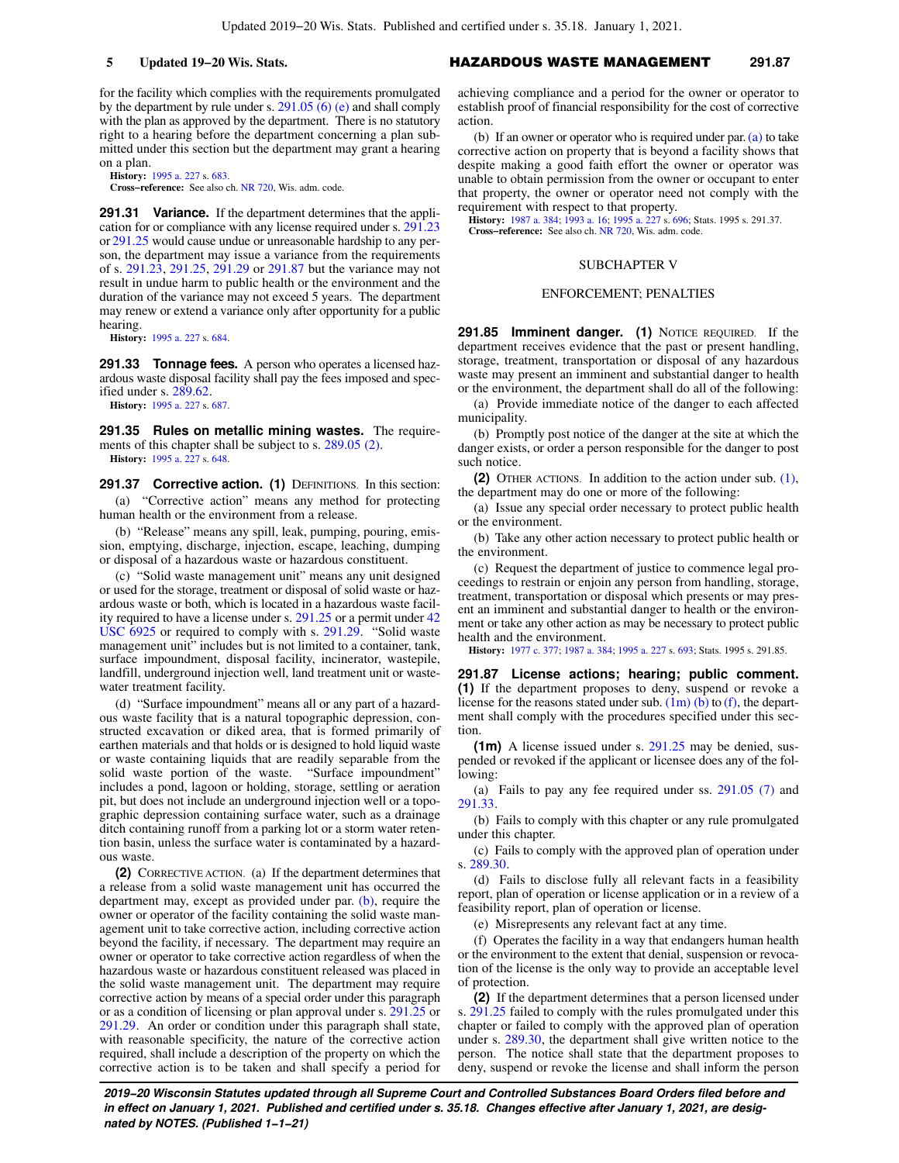for the facility which complies with the requirements promulgated by the department by rule under s. [291.05 \(6\) \(e\)](https://docs-preview.legis.wisconsin.gov/document/statutes/291.05(6)(e)) and shall comply with the plan as approved by the department. There is no statutory right to a hearing before the department concerning a plan submitted under this section but the department may grant a hearing on a plan.

**History:** [1995 a. 227](https://docs-preview.legis.wisconsin.gov/document/acts/1995/227) s. [683.](https://docs-preview.legis.wisconsin.gov/document/acts/1995/227,%20s.%20683)

**Cross−reference:** See also ch. [NR 720](https://docs-preview.legis.wisconsin.gov/document/administrativecode/ch.%20NR%20720), Wis. adm. code.

**291.31 Variance.** If the department determines that the application for or compliance with any license required under s. [291.23](https://docs-preview.legis.wisconsin.gov/document/statutes/291.23) or [291.25](https://docs-preview.legis.wisconsin.gov/document/statutes/291.25) would cause undue or unreasonable hardship to any person, the department may issue a variance from the requirements of s. [291.23,](https://docs-preview.legis.wisconsin.gov/document/statutes/291.23) [291.25,](https://docs-preview.legis.wisconsin.gov/document/statutes/291.25) [291.29](https://docs-preview.legis.wisconsin.gov/document/statutes/291.29) or [291.87](https://docs-preview.legis.wisconsin.gov/document/statutes/291.87) but the variance may not result in undue harm to public health or the environment and the duration of the variance may not exceed 5 years. The department may renew or extend a variance only after opportunity for a public hearing.

**History:** [1995 a. 227](https://docs-preview.legis.wisconsin.gov/document/acts/1995/227) s. [684.](https://docs-preview.legis.wisconsin.gov/document/acts/1995/227,%20s.%20684)

**291.33 Tonnage fees.** A person who operates a licensed hazardous waste disposal facility shall pay the fees imposed and specified under s. [289.62](https://docs-preview.legis.wisconsin.gov/document/statutes/289.62).

**History:** [1995 a. 227](https://docs-preview.legis.wisconsin.gov/document/acts/1995/227) s. [687.](https://docs-preview.legis.wisconsin.gov/document/acts/1995/227,%20s.%20687)

**291.35 Rules on metallic mining wastes.** The requirements of this chapter shall be subject to s. [289.05 \(2\).](https://docs-preview.legis.wisconsin.gov/document/statutes/289.05(2)) **History:** [1995 a. 227](https://docs-preview.legis.wisconsin.gov/document/acts/1995/227) s. [648.](https://docs-preview.legis.wisconsin.gov/document/acts/1995/227,%20s.%20648)

**291.37 Corrective action. (1)** DEFINITIONS. In this section: (a) "Corrective action" means any method for protecting human health or the environment from a release.

(b) "Release" means any spill, leak, pumping, pouring, emission, emptying, discharge, injection, escape, leaching, dumping or disposal of a hazardous waste or hazardous constituent.

(c) "Solid waste management unit" means any unit designed or used for the storage, treatment or disposal of solid waste or hazardous waste or both, which is located in a hazardous waste facility required to have a license under s. [291.25](https://docs-preview.legis.wisconsin.gov/document/statutes/291.25) or a permit under [42](https://docs-preview.legis.wisconsin.gov/document/usc/42%20USC%206925) [USC 6925](https://docs-preview.legis.wisconsin.gov/document/usc/42%20USC%206925) or required to comply with s. [291.29](https://docs-preview.legis.wisconsin.gov/document/statutes/291.29). "Solid waste management unit" includes but is not limited to a container, tank, surface impoundment, disposal facility, incinerator, wastepile, landfill, underground injection well, land treatment unit or wastewater treatment facility.

(d) "Surface impoundment" means all or any part of a hazardous waste facility that is a natural topographic depression, constructed excavation or diked area, that is formed primarily of earthen materials and that holds or is designed to hold liquid waste or waste containing liquids that are readily separable from the solid waste portion of the waste. "Surface impoundment" solid waste portion of the waste. includes a pond, lagoon or holding, storage, settling or aeration pit, but does not include an underground injection well or a topographic depression containing surface water, such as a drainage ditch containing runoff from a parking lot or a storm water retention basin, unless the surface water is contaminated by a hazardous waste

**(2)** CORRECTIVE ACTION. (a) If the department determines that a release from a solid waste management unit has occurred the department may, except as provided under par. [\(b\)](https://docs-preview.legis.wisconsin.gov/document/statutes/291.37(2)(b)), require the owner or operator of the facility containing the solid waste management unit to take corrective action, including corrective action beyond the facility, if necessary. The department may require an owner or operator to take corrective action regardless of when the hazardous waste or hazardous constituent released was placed in the solid waste management unit. The department may require corrective action by means of a special order under this paragraph or as a condition of licensing or plan approval under s. [291.25](https://docs-preview.legis.wisconsin.gov/document/statutes/291.25) or [291.29.](https://docs-preview.legis.wisconsin.gov/document/statutes/291.29) An order or condition under this paragraph shall state, with reasonable specificity, the nature of the corrective action required, shall include a description of the property on which the corrective action is to be taken and shall specify a period for

## **5 Updated 19−20 Wis. Stats.** HAZARDOUS WASTE MANAGEMENT **291.87**

achieving compliance and a period for the owner or operator to establish proof of financial responsibility for the cost of corrective action.

(b) If an owner or operator who is required under par.  $(a)$  to take corrective action on property that is beyond a facility shows that despite making a good faith effort the owner or operator was unable to obtain permission from the owner or occupant to enter that property, the owner or operator need not comply with the requirement with respect to that property.

**History:** [1987 a. 384;](https://docs-preview.legis.wisconsin.gov/document/acts/1987/384) [1993 a. 16;](https://docs-preview.legis.wisconsin.gov/document/acts/1993/16) [1995 a. 227](https://docs-preview.legis.wisconsin.gov/document/acts/1995/227) s. [696;](https://docs-preview.legis.wisconsin.gov/document/acts/1995/227,%20s.%20696) Stats. 1995 s. 291.37. **Cross−reference:** See also ch. [NR 720](https://docs-preview.legis.wisconsin.gov/document/administrativecode/ch.%20NR%20720), Wis. adm. code.

### SUBCHAPTER V

### ENFORCEMENT; PENALTIES

**291.85 Imminent danger. (1)** NOTICE REQUIRED. If the department receives evidence that the past or present handling, storage, treatment, transportation or disposal of any hazardous waste may present an imminent and substantial danger to health or the environment, the department shall do all of the following:

(a) Provide immediate notice of the danger to each affected municipality.

(b) Promptly post notice of the danger at the site at which the danger exists, or order a person responsible for the danger to post such notice.

**(2)** OTHER ACTIONS. In addition to the action under sub. [\(1\),](https://docs-preview.legis.wisconsin.gov/document/statutes/291.85(1)) the department may do one or more of the following:

(a) Issue any special order necessary to protect public health or the environment.

(b) Take any other action necessary to protect public health or the environment.

(c) Request the department of justice to commence legal proceedings to restrain or enjoin any person from handling, storage, treatment, transportation or disposal which presents or may present an imminent and substantial danger to health or the environment or take any other action as may be necessary to protect public health and the environment.

**History:** [1977 c. 377;](https://docs-preview.legis.wisconsin.gov/document/acts/1977/377) [1987 a. 384](https://docs-preview.legis.wisconsin.gov/document/acts/1987/384); [1995 a. 227](https://docs-preview.legis.wisconsin.gov/document/acts/1995/227) s. [693](https://docs-preview.legis.wisconsin.gov/document/acts/1995/227,%20s.%20693); Stats. 1995 s. 291.85.

**291.87 License actions; hearing; public comment. (1)** If the department proposes to deny, suspend or revoke a license for the reasons stated under sub.  $(1m)$  (b) to [\(f\)](https://docs-preview.legis.wisconsin.gov/document/statutes/291.87(1m)(f)), the department shall comply with the procedures specified under this section.

**(1m)** A license issued under s. [291.25](https://docs-preview.legis.wisconsin.gov/document/statutes/291.25) may be denied, suspended or revoked if the applicant or licensee does any of the following:

(a) Fails to pay any fee required under ss. [291.05 \(7\)](https://docs-preview.legis.wisconsin.gov/document/statutes/291.05(7)) and [291.33.](https://docs-preview.legis.wisconsin.gov/document/statutes/291.33)

(b) Fails to comply with this chapter or any rule promulgated under this chapter.

(c) Fails to comply with the approved plan of operation under s. [289.30.](https://docs-preview.legis.wisconsin.gov/document/statutes/289.30)

(d) Fails to disclose fully all relevant facts in a feasibility report, plan of operation or license application or in a review of a feasibility report, plan of operation or license.

(e) Misrepresents any relevant fact at any time.

(f) Operates the facility in a way that endangers human health or the environment to the extent that denial, suspension or revocation of the license is the only way to provide an acceptable level of protection.

**(2)** If the department determines that a person licensed under s. [291.25](https://docs-preview.legis.wisconsin.gov/document/statutes/291.25) failed to comply with the rules promulgated under this chapter or failed to comply with the approved plan of operation under s. [289.30](https://docs-preview.legis.wisconsin.gov/document/statutes/289.30), the department shall give written notice to the person. The notice shall state that the department proposes to deny, suspend or revoke the license and shall inform the person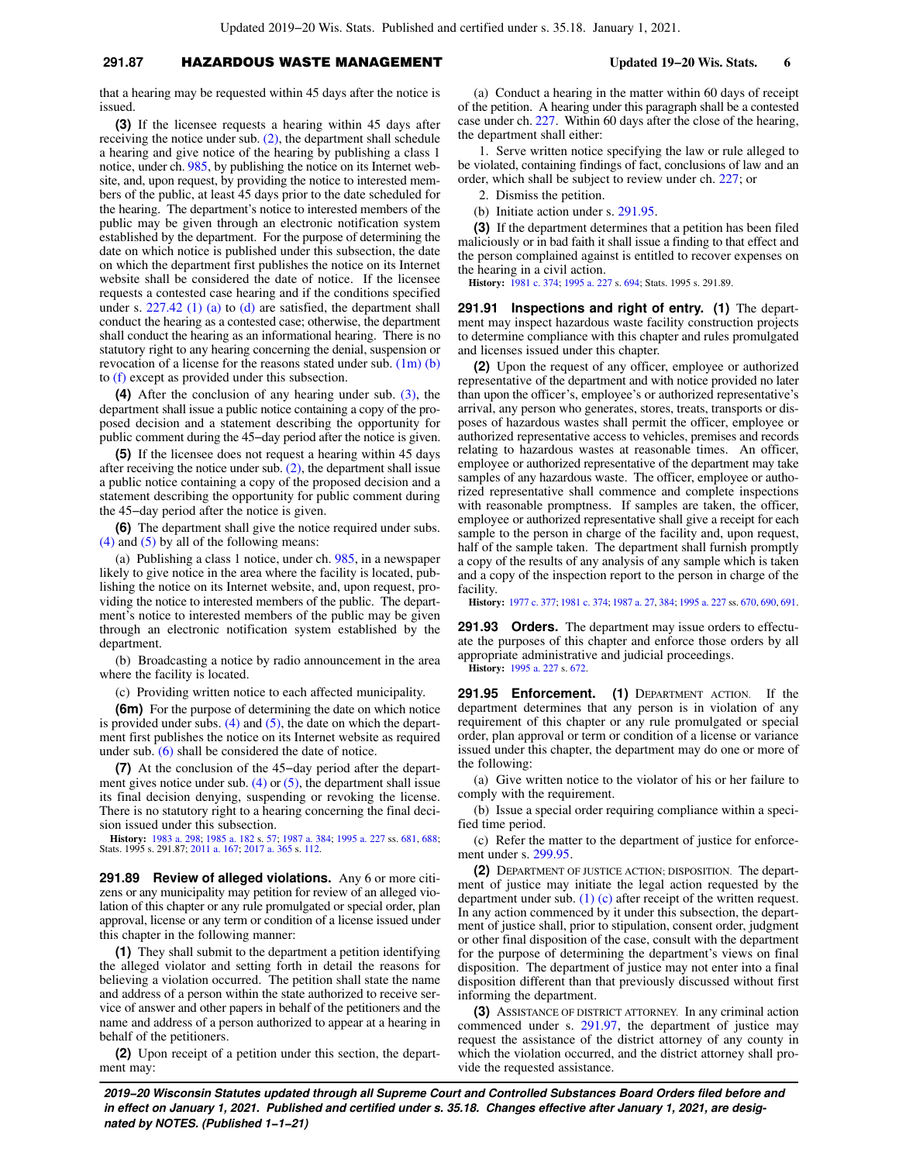# **291.87** HAZARDOUS WASTE MANAGEMENT **Updated 19−20 Wis. Stats. 6**

that a hearing may be requested within 45 days after the notice is issued.

**(3)** If the licensee requests a hearing within 45 days after receiving the notice under sub.  $(2)$ , the department shall schedule a hearing and give notice of the hearing by publishing a class 1 notice, under ch. [985,](https://docs-preview.legis.wisconsin.gov/document/statutes/ch.%20985) by publishing the notice on its Internet website, and, upon request, by providing the notice to interested members of the public, at least 45 days prior to the date scheduled for the hearing. The department's notice to interested members of the public may be given through an electronic notification system established by the department. For the purpose of determining the date on which notice is published under this subsection, the date on which the department first publishes the notice on its Internet website shall be considered the date of notice. If the licensee requests a contested case hearing and if the conditions specified under s.  $227.42$  (1) (a) to [\(d\)](https://docs-preview.legis.wisconsin.gov/document/statutes/227.42(1)(d)) are satisfied, the department shall conduct the hearing as a contested case; otherwise, the department shall conduct the hearing as an informational hearing. There is no statutory right to any hearing concerning the denial, suspension or revocation of a license for the reasons stated under sub. [\(1m\) \(b\)](https://docs-preview.legis.wisconsin.gov/document/statutes/291.87(1m)(b)) to [\(f\)](https://docs-preview.legis.wisconsin.gov/document/statutes/291.87(1m)(f)) except as provided under this subsection.

**(4)** After the conclusion of any hearing under sub. [\(3\)](https://docs-preview.legis.wisconsin.gov/document/statutes/291.87(3)), the department shall issue a public notice containing a copy of the proposed decision and a statement describing the opportunity for public comment during the 45−day period after the notice is given.

**(5)** If the licensee does not request a hearing within 45 days after receiving the notice under sub.  $(2)$ , the department shall issue a public notice containing a copy of the proposed decision and a statement describing the opportunity for public comment during the 45−day period after the notice is given.

**(6)** The department shall give the notice required under subs. [\(4\)](https://docs-preview.legis.wisconsin.gov/document/statutes/291.87(4)) and [\(5\)](https://docs-preview.legis.wisconsin.gov/document/statutes/291.87(5)) by all of the following means:

(a) Publishing a class 1 notice, under ch. [985,](https://docs-preview.legis.wisconsin.gov/document/statutes/ch.%20985) in a newspaper likely to give notice in the area where the facility is located, publishing the notice on its Internet website, and, upon request, providing the notice to interested members of the public. The department's notice to interested members of the public may be given through an electronic notification system established by the department.

(b) Broadcasting a notice by radio announcement in the area where the facility is located.

(c) Providing written notice to each affected municipality.

**(6m)** For the purpose of determining the date on which notice is provided under subs.  $(4)$  and  $(5)$ , the date on which the department first publishes the notice on its Internet website as required under sub. [\(6\)](https://docs-preview.legis.wisconsin.gov/document/statutes/291.87(6)) shall be considered the date of notice.

**(7)** At the conclusion of the 45−day period after the department gives notice under sub.  $(4)$  or  $(5)$ , the department shall issue its final decision denying, suspending or revoking the license. There is no statutory right to a hearing concerning the final decision issued under this subsection.

**History:** [1983 a. 298;](https://docs-preview.legis.wisconsin.gov/document/acts/1983/298) [1985 a. 182](https://docs-preview.legis.wisconsin.gov/document/acts/1985/182) s. [57;](https://docs-preview.legis.wisconsin.gov/document/acts/1985/182,%20s.%2057) [1987 a. 384;](https://docs-preview.legis.wisconsin.gov/document/acts/1987/384) [1995 a. 227](https://docs-preview.legis.wisconsin.gov/document/acts/1995/227) ss. [681,](https://docs-preview.legis.wisconsin.gov/document/acts/1995/227,%20s.%20681) [688](https://docs-preview.legis.wisconsin.gov/document/acts/1995/227,%20s.%20688); Stats. 1995 s. 291.87; [2011 a. 167;](https://docs-preview.legis.wisconsin.gov/document/acts/2011/167) [2017 a. 365](https://docs-preview.legis.wisconsin.gov/document/acts/2017/365) s. [112.](https://docs-preview.legis.wisconsin.gov/document/acts/2017/365,%20s.%20112)

**291.89 Review of alleged violations.** Any 6 or more citizens or any municipality may petition for review of an alleged violation of this chapter or any rule promulgated or special order, plan approval, license or any term or condition of a license issued under this chapter in the following manner:

**(1)** They shall submit to the department a petition identifying the alleged violator and setting forth in detail the reasons for believing a violation occurred. The petition shall state the name and address of a person within the state authorized to receive service of answer and other papers in behalf of the petitioners and the name and address of a person authorized to appear at a hearing in behalf of the petitioners.

**(2)** Upon receipt of a petition under this section, the department may:

(a) Conduct a hearing in the matter within 60 days of receipt of the petition. A hearing under this paragraph shall be a contested case under ch. [227](https://docs-preview.legis.wisconsin.gov/document/statutes/ch.%20227). Within 60 days after the close of the hearing, the department shall either:

1. Serve written notice specifying the law or rule alleged to be violated, containing findings of fact, conclusions of law and an order, which shall be subject to review under ch. [227](https://docs-preview.legis.wisconsin.gov/document/statutes/ch.%20227); or

2. Dismiss the petition.

(b) Initiate action under s. [291.95](https://docs-preview.legis.wisconsin.gov/document/statutes/291.95).

**(3)** If the department determines that a petition has been filed maliciously or in bad faith it shall issue a finding to that effect and the person complained against is entitled to recover expenses on the hearing in a civil action.

**History:** [1981 c. 374;](https://docs-preview.legis.wisconsin.gov/document/acts/1981/374) [1995 a. 227](https://docs-preview.legis.wisconsin.gov/document/acts/1995/227) s. [694;](https://docs-preview.legis.wisconsin.gov/document/acts/1995/227,%20s.%20694) Stats. 1995 s. 291.89.

**291.91 Inspections and right of entry. (1)** The department may inspect hazardous waste facility construction projects to determine compliance with this chapter and rules promulgated and licenses issued under this chapter.

**(2)** Upon the request of any officer, employee or authorized representative of the department and with notice provided no later than upon the officer's, employee's or authorized representative's arrival, any person who generates, stores, treats, transports or disposes of hazardous wastes shall permit the officer, employee or authorized representative access to vehicles, premises and records relating to hazardous wastes at reasonable times. An officer, employee or authorized representative of the department may take samples of any hazardous waste. The officer, employee or authorized representative shall commence and complete inspections with reasonable promptness. If samples are taken, the officer, employee or authorized representative shall give a receipt for each sample to the person in charge of the facility and, upon request, half of the sample taken. The department shall furnish promptly a copy of the results of any analysis of any sample which is taken and a copy of the inspection report to the person in charge of the facility.

**History:** [1977 c. 377;](https://docs-preview.legis.wisconsin.gov/document/acts/1977/377) [1981 c. 374](https://docs-preview.legis.wisconsin.gov/document/acts/1981/374); [1987 a. 27,](https://docs-preview.legis.wisconsin.gov/document/acts/1987/27) [384](https://docs-preview.legis.wisconsin.gov/document/acts/1987/384); [1995 a. 227](https://docs-preview.legis.wisconsin.gov/document/acts/1995/227) ss. [670](https://docs-preview.legis.wisconsin.gov/document/acts/1995/227,%20s.%20670), [690,](https://docs-preview.legis.wisconsin.gov/document/acts/1995/227,%20s.%20690) [691](https://docs-preview.legis.wisconsin.gov/document/acts/1995/227,%20s.%20691).

**291.93 Orders.** The department may issue orders to effectuate the purposes of this chapter and enforce those orders by all appropriate administrative and judicial proceedings. **History:** [1995 a. 227](https://docs-preview.legis.wisconsin.gov/document/acts/1995/227) s. [672](https://docs-preview.legis.wisconsin.gov/document/acts/1995/227,%20s.%20672).

**291.95 Enforcement. (1)** DEPARTMENT ACTION. If the department determines that any person is in violation of any requirement of this chapter or any rule promulgated or special order, plan approval or term or condition of a license or variance issued under this chapter, the department may do one or more of the following:

(a) Give written notice to the violator of his or her failure to comply with the requirement.

(b) Issue a special order requiring compliance within a specified time period.

(c) Refer the matter to the department of justice for enforcement under s. [299.95](https://docs-preview.legis.wisconsin.gov/document/statutes/299.95).

**(2)** DEPARTMENT OF JUSTICE ACTION; DISPOSITION. The department of justice may initiate the legal action requested by the department under sub.  $(1)$  (c) after receipt of the written request. In any action commenced by it under this subsection, the department of justice shall, prior to stipulation, consent order, judgment or other final disposition of the case, consult with the department for the purpose of determining the department's views on final disposition. The department of justice may not enter into a final disposition different than that previously discussed without first informing the department.

**(3)** ASSISTANCE OF DISTRICT ATTORNEY. In any criminal action commenced under s. [291.97,](https://docs-preview.legis.wisconsin.gov/document/statutes/291.97) the department of justice may request the assistance of the district attorney of any county in which the violation occurred, and the district attorney shall provide the requested assistance.